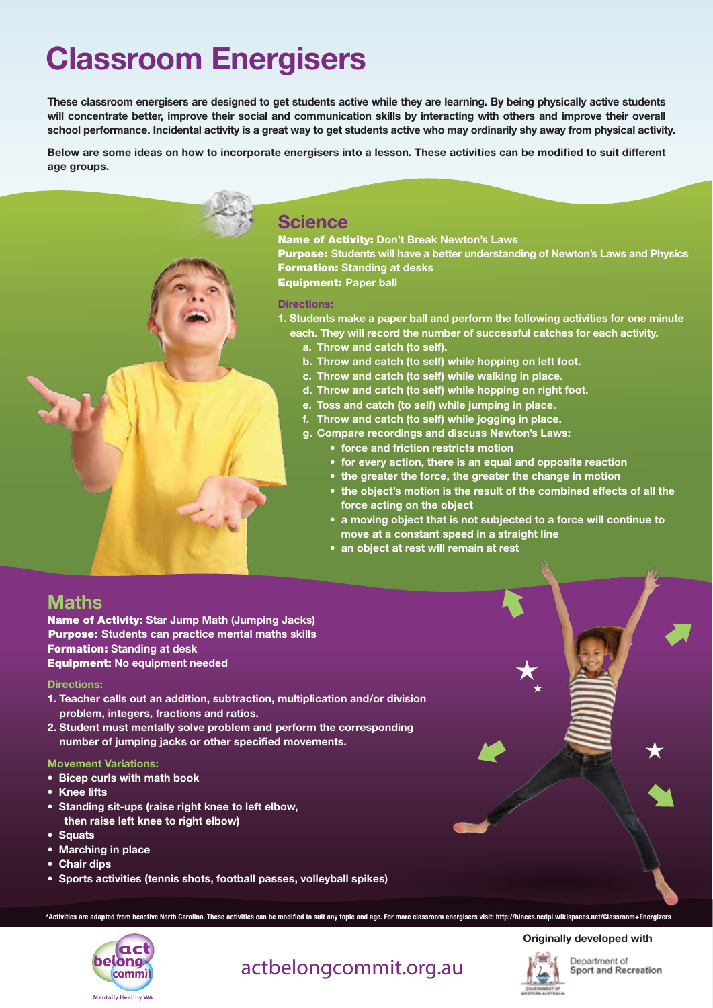# Classroom Energisers

These classroom energisers are designed to get students active while they are learning. By being physically active students will concentrate better, improve their social and communication skills by interacting with others and improve their overall school performance. Incidental activity is a great way to get students active who may ordinarily shy away from physical activity.

Below are some ideas on how to incorporate energisers into a lesson. These activities can be modified to suit different age groups.



### **Science**

Name of Activity: Don't Break Newton's Laws Purpose: Students will have a better understanding of Newton's Laws and Physics **Formation: Standing at desks** Equipment: Paper ball

#### Directions:

- 1. Students make a paper ball and perform the following activities for one minute each. They will record the number of successful catches for each activity.
	- a. Throw and catch (to self).
	- b. Throw and catch (to self) while hopping on left foot.
	- c. Throw and catch (to self) while walking in place.
	- d. Throw and catch (to self) while hopping on right foot.
	- e. Toss and catch (to self) while jumping in place.
	- f. Throw and catch (to self) while jogging in place.
	- g. Compare recordings and discuss Newton's Laws:
		- force and friction restricts motion
		- for every action, there is an equal and opposite reaction
		- the greater the force, the greater the change in motion
		- the object's motion is the result of the combined effects of all the force acting on the object
		- a moving object that is not subjected to a force will continue to move at a constant speed in a straight line
		- an object at rest will remain at rest

### **Maths**

Name of Activity: Star Jump Math (Jumping Jacks) Purpose: Students can practice mental maths skills Formation: Standing at desk Equipment: No equipment needed

#### Directions:

- 1. Teacher calls out an addition, subtraction, multiplication and/or division problem, integers, fractions and ratios.
- 2. Student must mentally solve problem and perform the corresponding number of jumping jacks or other specified movements.

#### Movement Variations:

- Bicep curls with math book
- Knee lifts
- Standing sit-ups (raise right knee to left elbow, then raise left knee to right elbow)
- Squats
- Marching in place
- Chair dips
- Sports activities (tennis shots, football passes, volleyball spikes)

\*Activities are adapted from beactive North Carolina. These activities can be modified to suit any topic and age. For more classroom energisers visit: http://hlnces.ncdpi.wikispaces.net/Classroom+Energizers



# actbelongcommit.org.au

#### Originally developed with

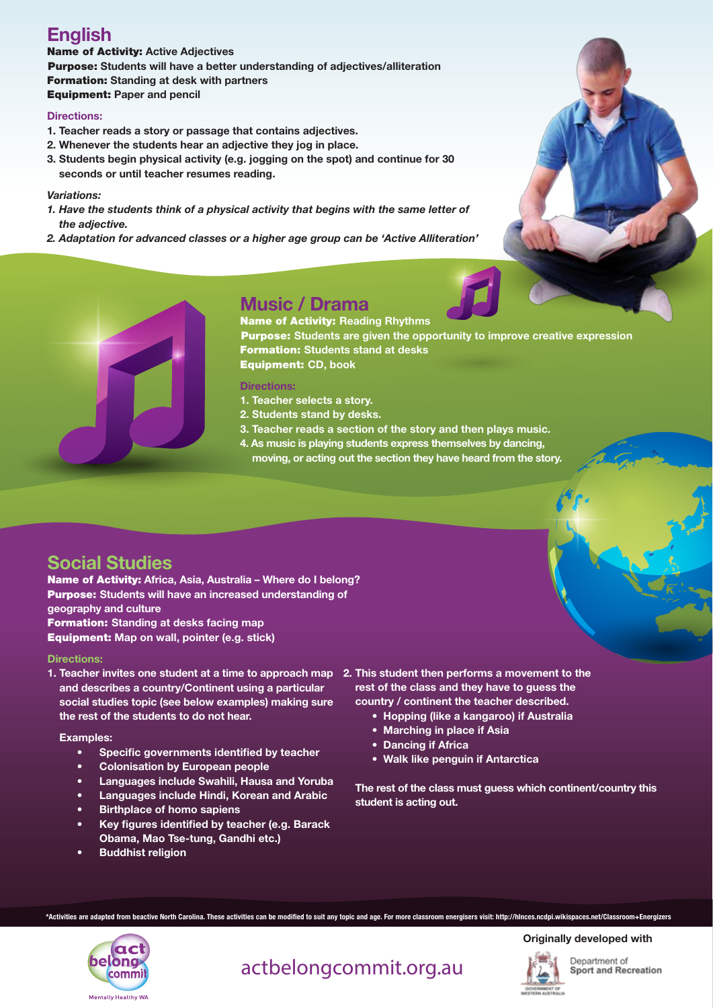# English

Name of Activity: Active Adjectives Purpose: Students will have a better understanding of adjectives/alliteration Formation: Standing at desk with partners Equipment: Paper and pencil

#### Directions:

- 1. Teacher reads a story or passage that contains adjectives.
- 2. Whenever the students hear an adjective they jog in place.
- 3. Students begin physical activity (e.g. jogging on the spot) and continue for 30 seconds or until teacher resumes reading.

#### *Variations:*

- *1. Have the students think of a physical activity that begins with the same letter of the adjective.*
- *2. Adaptation for advanced classes or a higher age group can be 'Active Alliteration'*





# Music / Drama

Name of Activity: Reading Rhythms

**Purpose:** Students are given the opportunity to improve creative expression Formation: Students stand at desks Equipment: CD, book

#### Directions:

- 1. Teacher selects a story.
- 2. Students stand by desks.
- 3. Teacher reads a section of the story and then plays music.
- 4. As music is playing students express themselves by dancing, moving, or acting out the section they have heard from the story.

## Social Studies

Name of Activity: Africa, Asia, Australia – Where do I belong? Purpose: Students will have an increased understanding of geography and culture **Formation: Standing at desks facing map** Equipment: Map on wall, pointer (e.g. stick)

#### Directions:

1. Teacher invites one student at a time to approach map 2. This student then performs a movement to the and describes a country/Continent using a particular social studies topic (see below examples) making sure the rest of the students to do not hear.

#### Examples:

- Specific governments identified by teacher
- Colonisation by European people
- Languages include Swahili, Hausa and Yoruba
- Languages include Hindi, Korean and Arabic
- Birthplace of homo sapiens
- Key figures identified by teacher (e.g. Barack Obama, Mao Tse-tung, Gandhi etc.)
- **Buddhist religion**
- rest of the class and they have to guess the country / continent the teacher described.
	- Hopping (like a kangaroo) if Australia
	- Marching in place if Asia
	- Dancing if Africa
	- Walk like penguin if Antarctica

The rest of the class must guess which continent/country this student is acting out.

\*Activities are adapted from beactive North Carolina. These activities can be modified to suit any topic and age. For more classroom energisers visit: http://hlnces.ncdpi.wikispaces.net/Classroom+Energizers



# actbelongcommit.org.au

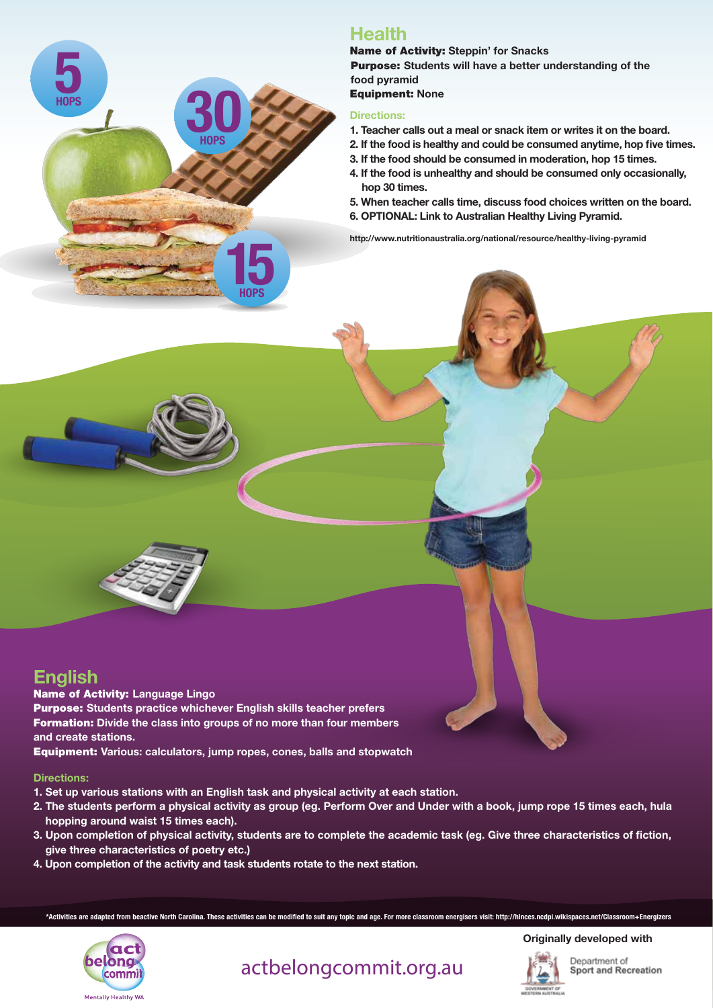

# **Health**

Name of Activity: Steppin' for Snacks Purpose: Students will have a better understanding of the food pyramid Equipment: None

#### Directions:

- 1. Teacher calls out a meal or snack item or writes it on the board.
- 2. If the food is healthy and could be consumed anytime, hop five times.
- 3. If the food should be consumed in moderation, hop 15 times.
- 4. If the food is unhealthy and should be consumed only occasionally, hop 30 times.
- 5. When teacher calls time, discuss food choices written on the board.
- 6. OPTIONAL: Link to Australian Healthy Living Pyramid.

http://www.nutritionaustralia.org/national/resource/healthy-living-pyramid

### English

Name of Activity: Language Lingo

Purpose: Students practice whichever English skills teacher prefers Formation: Divide the class into groups of no more than four members and create stations.

Equipment: Various: calculators, jump ropes, cones, balls and stopwatch

#### Directions:

- 1. Set up various stations with an English task and physical activity at each station.
- 2. The students perform a physical activity as group (eg. Perform Over and Under with a book, jump rope 15 times each, hula hopping around waist 15 times each).
- 3. Upon completion of physical activity, students are to complete the academic task (eg. Give three characteristics of fiction, give three characteristics of poetry etc.)
- 4. Upon completion of the activity and task students rotate to the next station.

\*Activities are adapted from beactive North Carolina. These activities can be modified to suit any topic and age. For more classroom energisers visit: http://hlnces.ncdpi.wikispaces.net/Classroom+Energizers



actbelongcommit.org.au